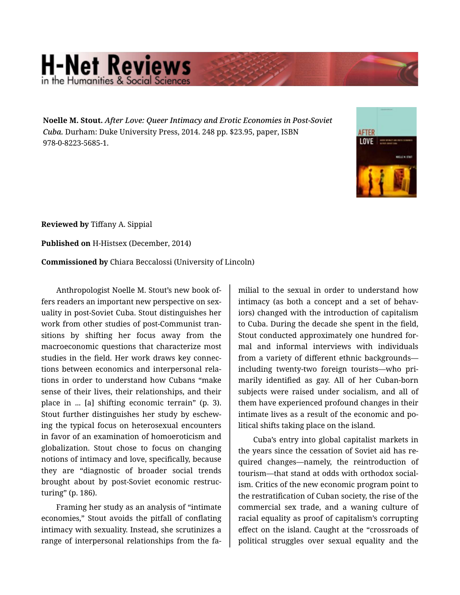## **H-Net Reviews**

**Noelle M. Stout.** *After Love: Queer Intimacy and Erotic Economies in Post-Soviet Cuba.* Durham: Duke University Press, 2014. 248 pp. \$23.95, paper, ISBN 978-0-8223-5685-1.



**Reviewed by** Tiffany A. Sippial

**Published on** H-Histsex (December, 2014)

**Commissioned by** Chiara Beccalossi (University of Lincoln)

Anthropologist Noelle M. Stout's new book of‐ fers readers an important new perspective on sex‐ uality in post-Soviet Cuba. Stout distinguishes her work from other studies of post-Communist tran‐ sitions by shifting her focus away from the macroeconomic questions that characterize most studies in the field. Her work draws key connec‐ tions between economics and interpersonal rela‐ tions in order to understand how Cubans "make sense of their lives, their relationships, and their place in ... [a] shifting economic terrain" (p. 3). Stout further distinguishes her study by eschew‐ ing the typical focus on heterosexual encounters in favor of an examination of homoeroticism and globalization. Stout chose to focus on changing notions of intimacy and love, specifically, because they are "diagnostic of broader social trends brought about by post-Soviet economic restruc‐ turing" (p. 186).

Framing her study as an analysis of "intimate economies," Stout avoids the pitfall of conflating intimacy with sexuality. Instead, she scrutinizes a range of interpersonal relationships from the fa‐

milial to the sexual in order to understand how intimacy (as both a concept and a set of behav‐ iors) changed with the introduction of capitalism to Cuba. During the decade she spent in the field, Stout conducted approximately one hundred for‐ mal and informal interviews with individuals from a variety of different ethnic backgrounds including twenty-two foreign tourists—who pri‐ marily identified as gay. All of her Cuban-born subjects were raised under socialism, and all of them have experienced profound changes in their intimate lives as a result of the economic and po‐ litical shifts taking place on the island.

Cuba's entry into global capitalist markets in the years since the cessation of Soviet aid has re‐ quired changes—namely, the reintroduction of tourism—that stand at odds with orthodox social‐ ism. Critics of the new economic program point to the restratification of Cuban society, the rise of the commercial sex trade, and a waning culture of racial equality as proof of capitalism's corrupting effect on the island. Caught at the "crossroads of political struggles over sexual equality and the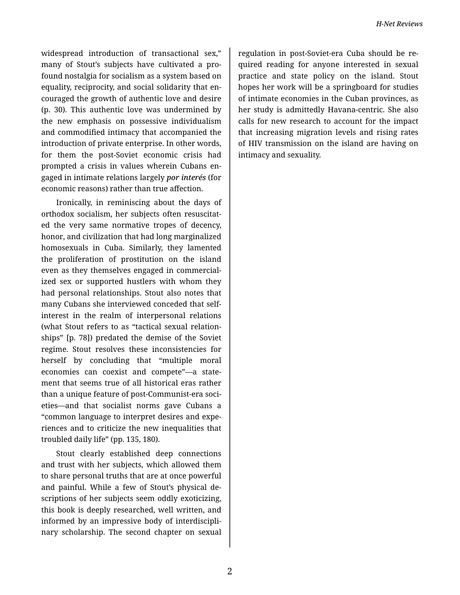widespread introduction of transactional sex," many of Stout's subjects have cultivated a pro‐ found nostalgia for socialism as a system based on equality, reciprocity, and social solidarity that en‐ couraged the growth of authentic love and desire (p. 30). This authentic love was undermined by the new emphasis on possessive individualism and commodified intimacy that accompanied the introduction of private enterprise. In other words, for them the post-Soviet economic crisis had prompted a crisis in values wherein Cubans en‐ gaged in intimate relations largely *por interés* (for economic reasons) rather than true affection.

Ironically, in reminiscing about the days of orthodox socialism, her subjects often resuscitat‐ ed the very same normative tropes of decency, honor, and civilization that had long marginalized homosexuals in Cuba. Similarly, they lamented the proliferation of prostitution on the island even as they themselves engaged in commercial‐ ized sex or supported hustlers with whom they had personal relationships. Stout also notes that many Cubans she interviewed conceded that selfinterest in the realm of interpersonal relations (what Stout refers to as "tactical sexual relation‐ ships" [p. 78]) predated the demise of the Soviet regime. Stout resolves these inconsistencies for herself by concluding that "multiple moral economies can coexist and compete"—a state‐ ment that seems true of all historical eras rather than a unique feature of post-Communist-era soci‐ eties—and that socialist norms gave Cubans a "common language to interpret desires and expe‐ riences and to criticize the new inequalities that troubled daily life" (pp. 135, 180).

Stout clearly established deep connections and trust with her subjects, which allowed them to share personal truths that are at once powerful and painful. While a few of Stout's physical de‐ scriptions of her subjects seem oddly exoticizing, this book is deeply researched, well written, and informed by an impressive body of interdiscipli‐ nary scholarship. The second chapter on sexual

regulation in post-Soviet-era Cuba should be re‐ quired reading for anyone interested in sexual practice and state policy on the island. Stout hopes her work will be a springboard for studies of intimate economies in the Cuban provinces, as her study is admittedly Havana-centric. She also calls for new research to account for the impact that increasing migration levels and rising rates of HIV transmission on the island are having on intimacy and sexuality.